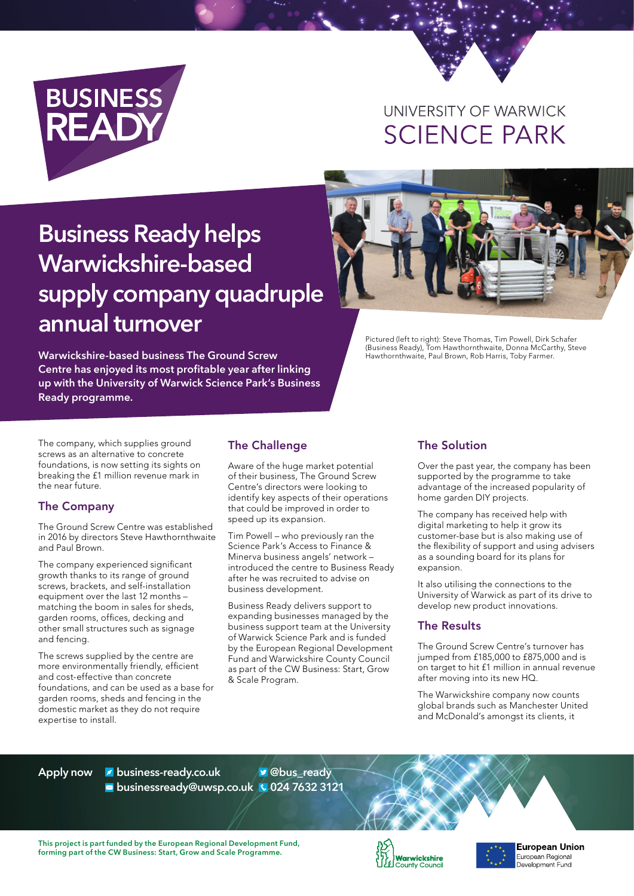

# UNIVERSITY OF WARWICK **SCIENCE PARK**

# **Business Ready helps Warwickshire-based supply company quadruple annual turnover**

**Warwickshire-based business The Ground Screw Centre has enjoyed its most profitable year after linking up with the University of Warwick Science Park's Business Ready programme.**

Pictured (left to right): Steve Thomas, Tim Powell, Dirk Schafer (Business Ready), Tom Hawthornthwaite, Donna McCarthy, Steve Hawthornthwaite, Paul Brown, Rob Harris, Toby Farmer.

The company, which supplies ground screws as an alternative to concrete foundations, is now setting its sights on breaking the £1 million revenue mark in the near future.

#### The Company

The Ground Screw Centre was established in 2016 by directors Steve Hawthornthwaite and Paul Brown.

The company experienced significant growth thanks to its range of ground screws, brackets, and self-installation equipment over the last 12 months – matching the boom in sales for sheds, garden rooms, offices, decking and other small structures such as signage and fencing.

The screws supplied by the centre are more environmentally friendly, efficient and cost-effective than concrete foundations, and can be used as a base for garden rooms, sheds and fencing in the domestic market as they do not require expertise to install.

#### The Challenge

Aware of the huge market potential of their business, The Ground Screw Centre's directors were looking to identify key aspects of their operations that could be improved in order to speed up its expansion.

Tim Powell – who previously ran the Science Park's Access to Finance & Minerva business angels' network – introduced the centre to Business Ready after he was recruited to advise on business development.

Business Ready delivers support to expanding businesses managed by the business support team at the University of Warwick Science Park and is funded by the European Regional Development Fund and Warwickshire County Council as part of the CW Business: Start, Grow & Scale Program.

### The Solution

Over the past year, the company has been supported by the programme to take advantage of the increased popularity of home garden DIY projects.

The company has received help with digital marketing to help it grow its customer-base but is also making use of the flexibility of support and using advisers as a sounding board for its plans for expansion

It also utilising the connections to the University of Warwick as part of its drive to develop new product innovations.

#### The Results

The Ground Screw Centre's turnover has jumped from £185,000 to £875,000 and is on target to hit £1 million in annual revenue after moving into its new HQ.

The Warwickshire company now counts global brands such as Manchester United and McDonald's amongst its clients, it

**Apply now business-ready.co.uk businessready@uwsp.co.uk 024 7632 3121**

**@bus\_ready**

**This project is part funded by the European Regional Development Fund, forming part of the CW Business: Start, Grow and Scale Programme.**